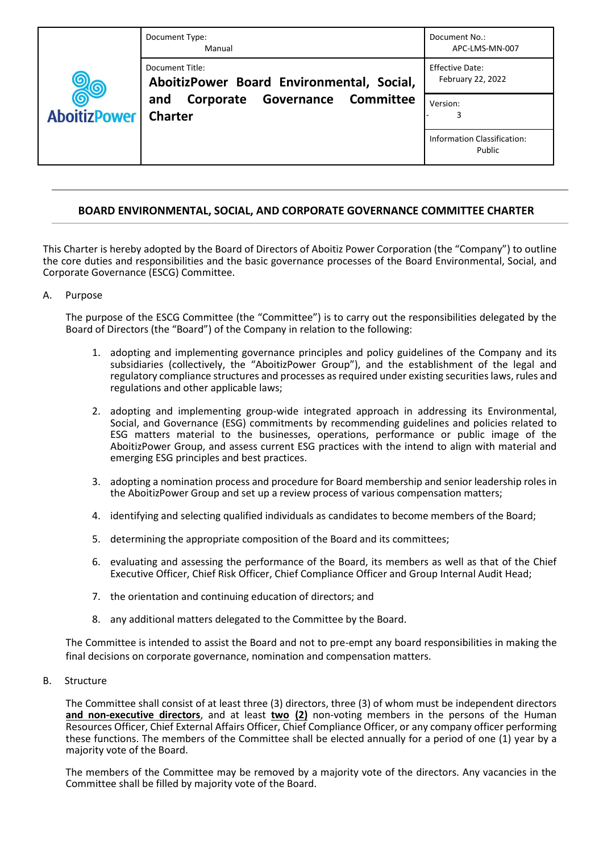| <b>AboitizPower</b> | Document Type:<br>Manual                                                                                                          | Document No.:<br>APC-LMS-MN-007              |
|---------------------|-----------------------------------------------------------------------------------------------------------------------------------|----------------------------------------------|
|                     | Document Title:<br>AboitizPower Board Environmental, Social,<br><b>Governance Committee</b><br>Corporate<br>and<br><b>Charter</b> | <b>Effective Date:</b><br>February 22, 2022  |
|                     |                                                                                                                                   | Version:                                     |
|                     |                                                                                                                                   | <b>Information Classification:</b><br>Public |

# **BOARD ENVIRONMENTAL, SOCIAL, AND CORPORATE GOVERNANCE COMMITTEE CHARTER**

This Charter is hereby adopted by the Board of Directors of Aboitiz Power Corporation (the "Company") to outline the core duties and responsibilities and the basic governance processes of the Board Environmental, Social, and Corporate Governance (ESCG) Committee.

# A. Purpose

The purpose of the ESCG Committee (the "Committee") is to carry out the responsibilities delegated by the Board of Directors (the "Board") of the Company in relation to the following:

- 1. adopting and implementing governance principles and policy guidelines of the Company and its subsidiaries (collectively, the "AboitizPower Group"), and the establishment of the legal and regulatory compliance structures and processes as required under existing securities laws, rules and regulations and other applicable laws;
- 2. adopting and implementing group-wide integrated approach in addressing its Environmental, Social, and Governance (ESG) commitments by recommending guidelines and policies related to ESG matters material to the businesses, operations, performance or public image of the AboitizPower Group, and assess current ESG practices with the intend to align with material and emerging ESG principles and best practices.
- 3. adopting a nomination process and procedure for Board membership and senior leadership roles in the AboitizPower Group and set up a review process of various compensation matters;
- 4. identifying and selecting qualified individuals as candidates to become members of the Board;
- 5. determining the appropriate composition of the Board and its committees;
- 6. evaluating and assessing the performance of the Board, its members as well as that of the Chief Executive Officer, Chief Risk Officer, Chief Compliance Officer and Group Internal Audit Head;
- 7. the orientation and continuing education of directors; and
- 8. any additional matters delegated to the Committee by the Board.

The Committee is intended to assist the Board and not to pre-empt any board responsibilities in making the final decisions on corporate governance, nomination and compensation matters.

B. Structure

The Committee shall consist of at least three (3) directors, three (3) of whom must be independent directors **and non-executive directors**, and at least **two (2)** non-voting members in the persons of the Human Resources Officer, Chief External Affairs Officer, Chief Compliance Officer, or any company officer performing these functions. The members of the Committee shall be elected annually for a period of one (1) year by a majority vote of the Board.

The members of the Committee may be removed by a majority vote of the directors. Any vacancies in the Committee shall be filled by majority vote of the Board.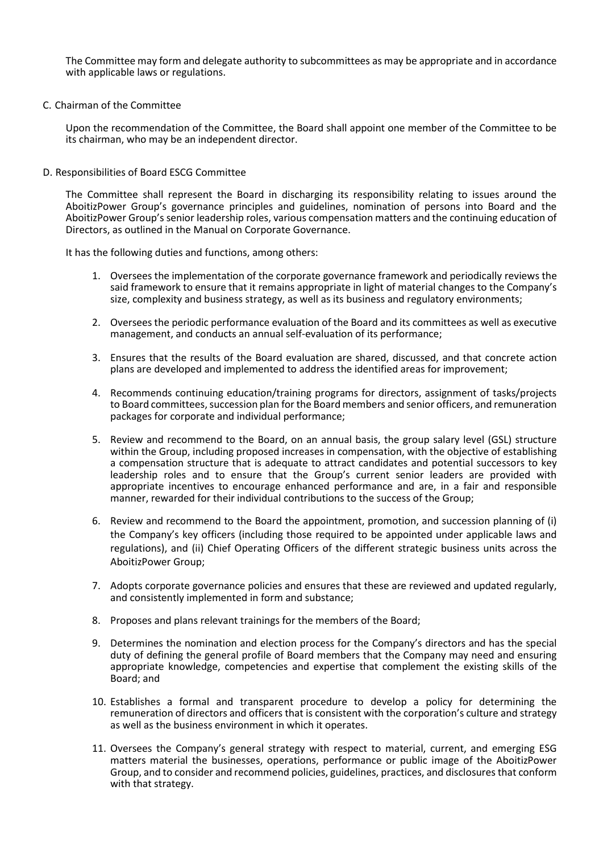The Committee may form and delegate authority to subcommittees as may be appropriate and in accordance with applicable laws or regulations.

C. Chairman of the Committee

Upon the recommendation of the Committee, the Board shall appoint one member of the Committee to be its chairman, who may be an independent director.

D. Responsibilities of Board ESCG Committee

The Committee shall represent the Board in discharging its responsibility relating to issues around the AboitizPower Group's governance principles and guidelines, nomination of persons into Board and the AboitizPower Group's senior leadership roles, various compensation matters and the continuing education of Directors, as outlined in the Manual on Corporate Governance.

It has the following duties and functions, among others:

- 1. Oversees the implementation of the corporate governance framework and periodically reviews the said framework to ensure that it remains appropriate in light of material changes to the Company's size, complexity and business strategy, as well as its business and regulatory environments;
- 2. Oversees the periodic performance evaluation of the Board and its committees as well as executive management, and conducts an annual self-evaluation of its performance;
- 3. Ensures that the results of the Board evaluation are shared, discussed, and that concrete action plans are developed and implemented to address the identified areas for improvement;
- 4. Recommends continuing education/training programs for directors, assignment of tasks/projects to Board committees, succession plan for the Board members and senior officers, and remuneration packages for corporate and individual performance;
- 5. Review and recommend to the Board, on an annual basis, the group salary level (GSL) structure within the Group, including proposed increases in compensation, with the objective of establishing a compensation structure that is adequate to attract candidates and potential successors to key leadership roles and to ensure that the Group's current senior leaders are provided with appropriate incentives to encourage enhanced performance and are, in a fair and responsible manner, rewarded for their individual contributions to the success of the Group;
- 6. Review and recommend to the Board the appointment, promotion, and succession planning of (i) the Company's key officers (including those required to be appointed under applicable laws and regulations), and (ii) Chief Operating Officers of the different strategic business units across the AboitizPower Group;
- 7. Adopts corporate governance policies and ensures that these are reviewed and updated regularly, and consistently implemented in form and substance;
- 8. Proposes and plans relevant trainings for the members of the Board;
- 9. Determines the nomination and election process for the Company's directors and has the special duty of defining the general profile of Board members that the Company may need and ensuring appropriate knowledge, competencies and expertise that complement the existing skills of the Board; and
- 10. Establishes a formal and transparent procedure to develop a policy for determining the remuneration of directors and officers that is consistent with the corporation's culture and strategy as well as the business environment in which it operates.
- 11. Oversees the Company's general strategy with respect to material, current, and emerging ESG matters material the businesses, operations, performance or public image of the AboitizPower Group, and to consider and recommend policies, guidelines, practices, and disclosures that conform with that strategy.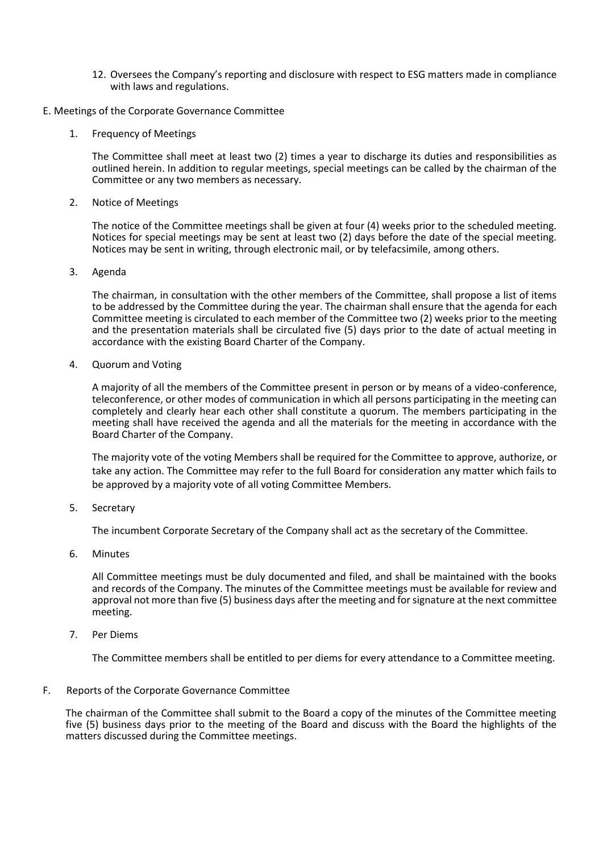- 12. Oversees the Company's reporting and disclosure with respect to ESG matters made in compliance with laws and regulations.
- E. Meetings of the Corporate Governance Committee
	- 1. Frequency of Meetings

The Committee shall meet at least two (2) times a year to discharge its duties and responsibilities as outlined herein. In addition to regular meetings, special meetings can be called by the chairman of the Committee or any two members as necessary.

2. Notice of Meetings

The notice of the Committee meetings shall be given at four (4) weeks prior to the scheduled meeting. Notices for special meetings may be sent at least two (2) days before the date of the special meeting. Notices may be sent in writing, through electronic mail, or by telefacsimile, among others.

3. Agenda

The chairman, in consultation with the other members of the Committee, shall propose a list of items to be addressed by the Committee during the year. The chairman shall ensure that the agenda for each Committee meeting is circulated to each member of the Committee two (2) weeks prior to the meeting and the presentation materials shall be circulated five (5) days prior to the date of actual meeting in accordance with the existing Board Charter of the Company.

4. Quorum and Voting

A majority of all the members of the Committee present in person or by means of a video-conference, teleconference, or other modes of communication in which all persons participating in the meeting can completely and clearly hear each other shall constitute a quorum. The members participating in the meeting shall have received the agenda and all the materials for the meeting in accordance with the Board Charter of the Company.

The majority vote of the voting Members shall be required for the Committee to approve, authorize, or take any action. The Committee may refer to the full Board for consideration any matter which fails to be approved by a majority vote of all voting Committee Members.

5. Secretary

The incumbent Corporate Secretary of the Company shall act as the secretary of the Committee.

6. Minutes

All Committee meetings must be duly documented and filed, and shall be maintained with the books and records of the Company. The minutes of the Committee meetings must be available for review and approval not more than five (5) business days after the meeting and for signature at the next committee meeting.

7. Per Diems

The Committee members shall be entitled to per diems for every attendance to a Committee meeting.

# F. Reports of the Corporate Governance Committee

The chairman of the Committee shall submit to the Board a copy of the minutes of the Committee meeting five (5) business days prior to the meeting of the Board and discuss with the Board the highlights of the matters discussed during the Committee meetings.